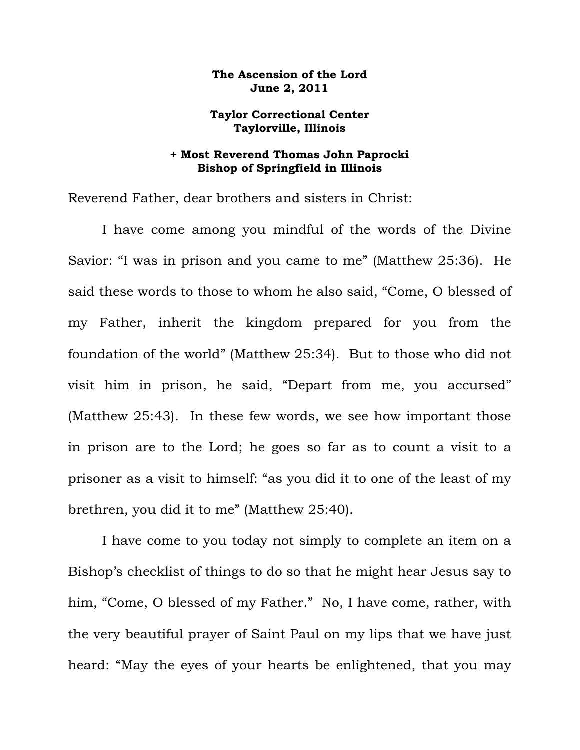## **The Ascension of the Lord June 2, 2011**

## **Taylor Correctional Center Taylorville, Illinois**

## **+ Most Reverend Thomas John Paprocki Bishop of Springfield in Illinois**

Reverend Father, dear brothers and sisters in Christ:

 I have come among you mindful of the words of the Divine Savior: "I was in prison and you came to me" (Matthew 25:36). He said these words to those to whom he also said, "Come, O blessed of my Father, inherit the kingdom prepared for you from the foundation of the world" (Matthew 25:34). But to those who did not visit him in prison, he said, "Depart from me, you accursed" (Matthew 25:43). In these few words, we see how important those in prison are to the Lord; he goes so far as to count a visit to a prisoner as a visit to himself: "as you did it to one of the least of my brethren, you did it to me" (Matthew 25:40).

 I have come to you today not simply to complete an item on a Bishop's checklist of things to do so that he might hear Jesus say to him, "Come, O blessed of my Father." No, I have come, rather, with the very beautiful prayer of Saint Paul on my lips that we have just heard: "May the eyes of your hearts be enlightened, that you may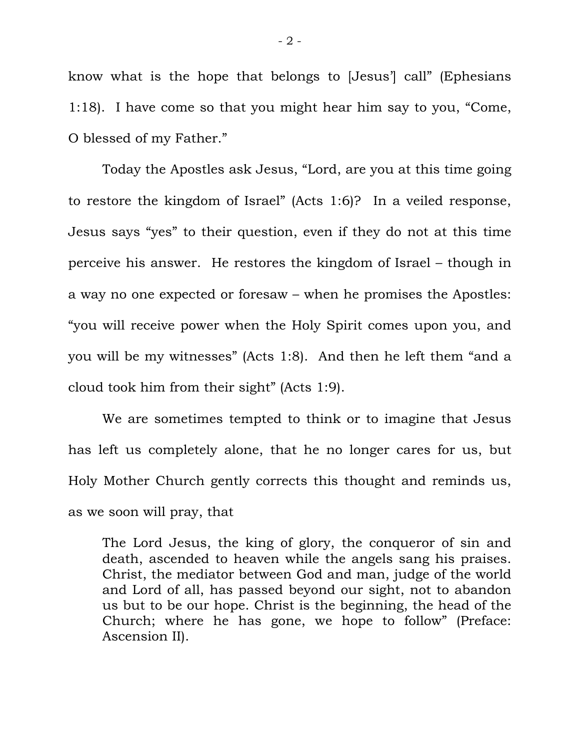know what is the hope that belongs to [Jesus'] call" (Ephesians 1:18). I have come so that you might hear him say to you, "Come, O blessed of my Father."

 Today the Apostles ask Jesus, "Lord, are you at this time going to restore the kingdom of Israel" (Acts 1:6)? In a veiled response, Jesus says "yes" to their question, even if they do not at this time perceive his answer. He restores the kingdom of Israel – though in a way no one expected or foresaw – when he promises the Apostles: "you will receive power when the Holy Spirit comes upon you, and you will be my witnesses" (Acts 1:8). And then he left them "and a cloud took him from their sight" (Acts 1:9).

 We are sometimes tempted to think or to imagine that Jesus has left us completely alone, that he no longer cares for us, but Holy Mother Church gently corrects this thought and reminds us, as we soon will pray, that

The Lord Jesus, the king of glory, the conqueror of sin and death, ascended to heaven while the angels sang his praises. Christ, the mediator between God and man, judge of the world and Lord of all, has passed beyond our sight, not to abandon us but to be our hope. Christ is the beginning, the head of the Church; where he has gone, we hope to follow" (Preface: Ascension II).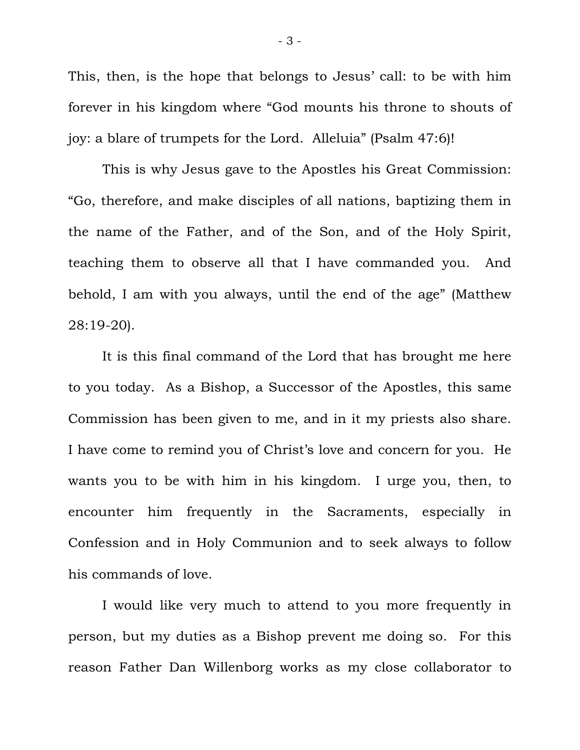This, then, is the hope that belongs to Jesus' call: to be with him forever in his kingdom where "God mounts his throne to shouts of joy: a blare of trumpets for the Lord. Alleluia" (Psalm 47:6)!

 This is why Jesus gave to the Apostles his Great Commission: "Go, therefore, and make disciples of all nations, baptizing them in the name of the Father, and of the Son, and of the Holy Spirit, teaching them to observe all that I have commanded you. And behold, I am with you always, until the end of the age" (Matthew 28:19-20).

 It is this final command of the Lord that has brought me here to you today. As a Bishop, a Successor of the Apostles, this same Commission has been given to me, and in it my priests also share. I have come to remind you of Christ's love and concern for you. He wants you to be with him in his kingdom. I urge you, then, to encounter him frequently in the Sacraments, especially in Confession and in Holy Communion and to seek always to follow his commands of love.

 I would like very much to attend to you more frequently in person, but my duties as a Bishop prevent me doing so. For this reason Father Dan Willenborg works as my close collaborator to

- 3 -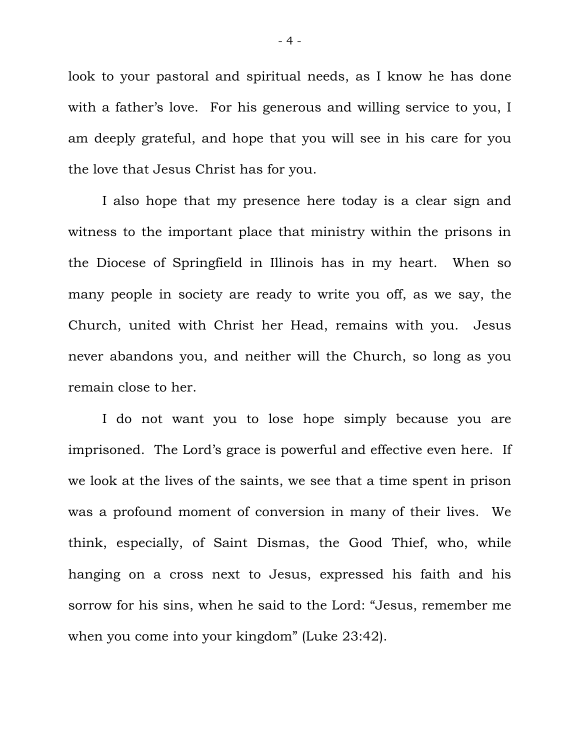look to your pastoral and spiritual needs, as I know he has done with a father's love. For his generous and willing service to you, I am deeply grateful, and hope that you will see in his care for you the love that Jesus Christ has for you.

 I also hope that my presence here today is a clear sign and witness to the important place that ministry within the prisons in the Diocese of Springfield in Illinois has in my heart. When so many people in society are ready to write you off, as we say, the Church, united with Christ her Head, remains with you. Jesus never abandons you, and neither will the Church, so long as you remain close to her.

 I do not want you to lose hope simply because you are imprisoned. The Lord's grace is powerful and effective even here. If we look at the lives of the saints, we see that a time spent in prison was a profound moment of conversion in many of their lives. We think, especially, of Saint Dismas, the Good Thief, who, while hanging on a cross next to Jesus, expressed his faith and his sorrow for his sins, when he said to the Lord: "Jesus, remember me when you come into your kingdom" (Luke 23:42).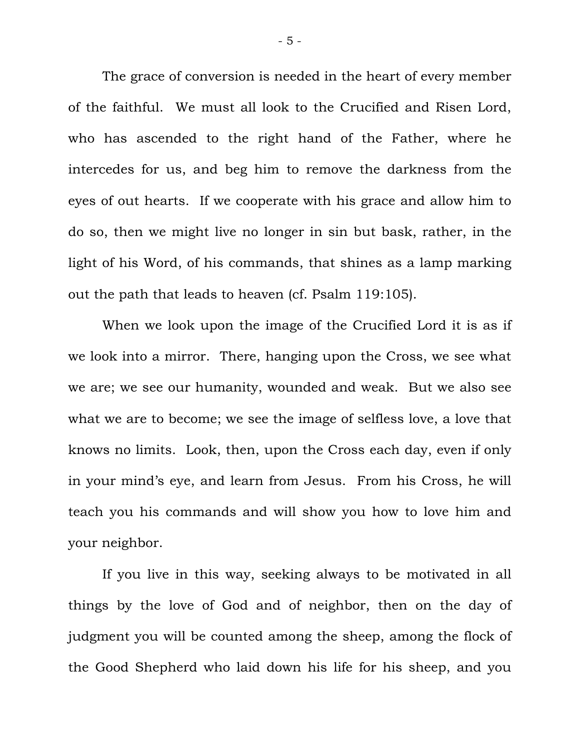The grace of conversion is needed in the heart of every member of the faithful. We must all look to the Crucified and Risen Lord, who has ascended to the right hand of the Father, where he intercedes for us, and beg him to remove the darkness from the eyes of out hearts. If we cooperate with his grace and allow him to do so, then we might live no longer in sin but bask, rather, in the light of his Word, of his commands, that shines as a lamp marking out the path that leads to heaven (cf. Psalm 119:105).

 When we look upon the image of the Crucified Lord it is as if we look into a mirror. There, hanging upon the Cross, we see what we are; we see our humanity, wounded and weak. But we also see what we are to become; we see the image of selfless love, a love that knows no limits. Look, then, upon the Cross each day, even if only in your mind's eye, and learn from Jesus. From his Cross, he will teach you his commands and will show you how to love him and your neighbor.

 If you live in this way, seeking always to be motivated in all things by the love of God and of neighbor, then on the day of judgment you will be counted among the sheep, among the flock of the Good Shepherd who laid down his life for his sheep, and you